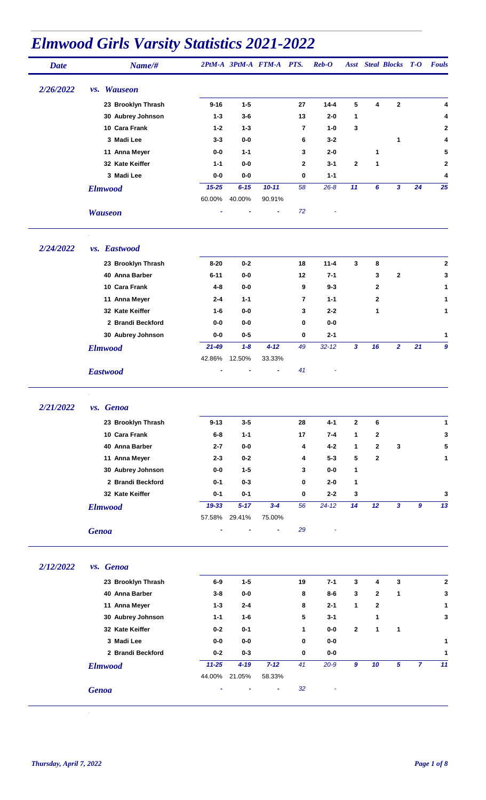| <b>Date</b> | Name/#             |           |               | 2PtM-A 3PtM-A FTM-A PTS. |                | $\boldsymbol{Reb}\text{-}\boldsymbol{O}$ |                  |              | <b>Asst</b> Steal Blocks T-O |                | <b>Fouls</b> |
|-------------|--------------------|-----------|---------------|--------------------------|----------------|------------------------------------------|------------------|--------------|------------------------------|----------------|--------------|
| 2/26/2022   | <i>vs.</i> Wauseon |           |               |                          |                |                                          |                  |              |                              |                |              |
|             | 23 Brooklyn Thrash | $9 - 16$  | $1 - 5$       |                          | 27             | $14 - 4$                                 | 5                | 4            | $\mathbf{2}$                 |                | 4            |
|             | 30 Aubrey Johnson  | $1 - 3$   | $3-6$         |                          | 13             | $2 - 0$                                  | 1                |              |                              |                |              |
|             | 10 Cara Frank      | $1 - 2$   | $1 - 3$       |                          | $\overline{7}$ | $1 - 0$                                  | 3                |              |                              |                | $\mathbf{2}$ |
|             | 3 Madi Lee         | $3 - 3$   | $0-0$         |                          | 6              | $3 - 2$                                  |                  |              | $\mathbf{1}$                 |                | 4            |
|             | 11 Anna Meyer      | 0-0       | $1 - 1$       |                          | 3              | $2 - 0$                                  |                  | 1            |                              |                | 5            |
|             | 32 Kate Keiffer    | $1 - 1$   | $0-0$         |                          | 2              | $3 - 1$                                  | $\mathbf{2}$     | 1            |                              |                | 2            |
|             | 3 Madi Lee         | $0-0$     | 0-0           |                          | 0              | $1 - 1$                                  |                  |              |                              |                | 4            |
|             | <b>Elmwood</b>     | $15 - 25$ | $6 - 15$      | $10 - 11$                | 58             | $26 - 8$                                 | 11               | 6            | 3                            | 24             | 25           |
|             |                    | 60.00%    | 40.00%        | 90.91%                   |                |                                          |                  |              |                              |                |              |
|             | <b>Wauseon</b>     |           |               | ä,                       | 72             |                                          |                  |              |                              |                |              |
| 2/24/2022   | vs. Eastwood       |           |               |                          |                |                                          |                  |              |                              |                |              |
|             | 23 Brooklyn Thrash | $8 - 20$  | $0-2$         |                          | 18             | $11 - 4$                                 | 3                | 8            |                              |                | $\bf 2$      |
|             | 40 Anna Barber     | $6 - 11$  | $0-0$         |                          | 12             | $7 - 1$                                  |                  | 3            | $\mathbf{2}$                 |                | 3            |
|             | 10 Cara Frank      | 4-8       | $0-0$         |                          | 9              | $9 - 3$                                  |                  | 2            |                              |                | 1            |
|             | 11 Anna Meyer      | $2 - 4$   | $1 - 1$       |                          | 7              | $1 - 1$                                  |                  | 2            |                              |                |              |
|             | 32 Kate Keiffer    | $1 - 6$   | 0-0           |                          | 3              | $2 - 2$                                  |                  | 1            |                              |                | 1            |
|             | 2 Brandi Beckford  | 0-0       | $0-0$         |                          | 0              | 0-0                                      |                  |              |                              |                |              |
|             | 30 Aubrey Johnson  | 0-0       | $0-5$         |                          | 0              | $2 - 1$                                  |                  |              |                              |                | 1            |
|             | <b>Elmwood</b>     | $21 - 49$ | $1 - 8$       | $4 - 12$                 | 49             | $32 - 12$                                | $\mathbf{3}$     | 16           | $\overline{2}$               | 21             | 9            |
|             |                    | 42.86%    | 12.50%        | 33.33%                   |                |                                          |                  |              |                              |                |              |
|             | <b>Eastwood</b>    |           |               |                          | 41             |                                          |                  |              |                              |                |              |
| 2/21/2022   |                    |           |               |                          |                |                                          |                  |              |                              |                |              |
|             | vs. Genoa          |           |               |                          |                |                                          |                  |              |                              |                |              |
|             | 23 Brooklyn Thrash | $9 - 13$  | $3 - 5$       |                          | 28             | $4 - 1$                                  | $\mathbf{2}$     | 6            |                              |                | 1            |
|             | 10 Cara Frank      | $6-8$     | $1 - 1$       |                          | 17             | $7 - 4$                                  | 1                | $\mathbf{2}$ |                              |                | 3            |
|             | 40 Anna Barber     | $2 - 7$   | $0-0$         |                          | 4              | $4 - 2$                                  | 1                | $\mathbf{2}$ | 3                            |                | 5            |
|             | 11 Anna Meyer      | $2 - 3$   | $0 - 2$       |                          | 4              | $5 - 3$                                  | 5                | $\mathbf{2}$ |                              |                | $\mathbf 1$  |
|             | 30 Aubrey Johnson  | $0-0$     | $1 - 5$       |                          | 3              | $0-0$                                    | 1                |              |                              |                |              |
|             | 2 Brandi Beckford  | $0 - 1$   | $0 - 3$       |                          | 0              | $2 - 0$                                  | 1                |              |                              |                |              |
|             | 32 Kate Keiffer    | $0 - 1$   | $0 - 1$       |                          | 0              | $2 - 2$                                  | 3                |              |                              |                | 3            |
|             | <b>Elmwood</b>     | 19-33     | $5 - 17$      | $3 - 4$                  | 56             | $24 - 12$                                | 14               | 12           | $\overline{\mathbf{3}}$      | 9              | 13           |
|             | <b>Genoa</b>       |           | 57.58% 29.41% | 75.00%<br>۰              | 29             |                                          |                  |              |                              |                |              |
|             |                    |           |               |                          |                |                                          |                  |              |                              |                |              |
| 2/12/2022   | vs. Genoa          |           |               |                          |                |                                          |                  |              |                              |                |              |
|             | 23 Brooklyn Thrash | $6-9$     | $1 - 5$       |                          | 19             | $7 - 1$                                  | $\mathbf{3}$     | 4            | $\mathbf{3}$                 |                | $\bf 2$      |
|             | 40 Anna Barber     | $3 - 8$   | $0-0$         |                          | 8              | $8-6$                                    | 3                | $\mathbf{2}$ | 1                            |                | 3            |
|             | 11 Anna Meyer      | $1 - 3$   | $2 - 4$       |                          | 8              | $2 - 1$                                  | $\mathbf{1}$     | $\mathbf{2}$ |                              |                | 1            |
|             | 30 Aubrey Johnson  | $1 - 1$   | $1-6$         |                          | 5              | $3 - 1$                                  |                  | 1            |                              |                | 3            |
|             | 32 Kate Keiffer    | $0-2$     | $0 - 1$       |                          | 1              | $0-0$                                    | $\bf 2$          | 1            | 1                            |                |              |
|             | 3 Madi Lee         | $0-0$     | $0-0$         |                          | 0              | $0-0$                                    |                  |              |                              |                | 1            |
|             | 2 Brandi Beckford  | $0-2$     | $0 - 3$       |                          | $\mathbf 0$    | $0-0$                                    |                  |              |                              |                | 1            |
|             | <b>Elmwood</b>     | $11 - 25$ | $4 - 19$      | $7 - 12$                 | 41             | $20 - 9$                                 | $\boldsymbol{9}$ | $10\,$       | $\overline{5}$               | $\overline{7}$ | 11           |
|             |                    |           | 44.00% 21.05% | 58.33%                   |                |                                          |                  |              |                              |                |              |
|             | <b>Genoa</b>       |           |               |                          | 32             |                                          |                  |              |                              |                |              |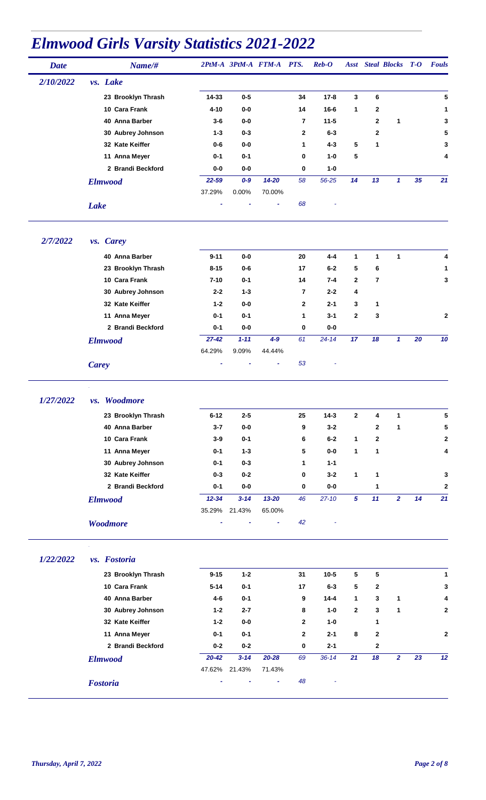| <b>Date</b> | Name/#              |           |                           | 2PtM-A 3PtM-A FTM-A PTS. |              | $\boldsymbol{Reb}\text{-}\boldsymbol{O}$ |                 |              | <b>Asst</b> Steal Blocks T-O |    | <b>Fouls</b> |
|-------------|---------------------|-----------|---------------------------|--------------------------|--------------|------------------------------------------|-----------------|--------------|------------------------------|----|--------------|
| 2/10/2022   | vs. Lake            |           |                           |                          |              |                                          |                 |              |                              |    |              |
|             | 23 Brooklyn Thrash  | 14-33     | $0-5$                     |                          | 34           | $17 - 8$                                 | 3               | 6            |                              |    | 5            |
|             | 10 Cara Frank       | $4 - 10$  | 0-0                       |                          | 14           | $16 - 6$                                 | 1               | $\mathbf{2}$ |                              |    | 1            |
|             | 40 Anna Barber      | $3-6$     | 0-0                       |                          | 7            | $11 - 5$                                 |                 | $\mathbf{2}$ | $\mathbf 1$                  |    | 3            |
|             | 30 Aubrey Johnson   | $1 - 3$   | $0 - 3$                   |                          | $\mathbf{2}$ | $6 - 3$                                  |                 | $\mathbf{2}$ |                              |    | 5            |
|             | 32 Kate Keiffer     | $0 - 6$   | $0-0$                     |                          | 1            | $4 - 3$                                  | 5               | 1            |                              |    | 3            |
|             | 11 Anna Meyer       | $0 - 1$   | $0 - 1$                   |                          | 0            | $1 - 0$                                  | 5               |              |                              |    | 4            |
|             | 2 Brandi Beckford   | $0-0$     | $0-0$                     |                          | 0            | $1 - 0$                                  |                 |              |                              |    |              |
|             | <b>Elmwood</b>      | 22-59     | $0 - 9$                   | $14 - 20$                | 58           | 56-25                                    | 14              | 13           | $\mathbf{1}$                 | 35 | 21           |
|             |                     | 37.29%    | 0.00%                     | 70.00%                   |              |                                          |                 |              |                              |    |              |
|             | <b>Lake</b>         |           |                           | ä,                       | 68           |                                          |                 |              |                              |    |              |
| 2/7/2022    | <i>vs.</i> Carey    |           |                           |                          |              |                                          |                 |              |                              |    |              |
|             | 40 Anna Barber      | $9 - 11$  | $0-0$                     |                          | 20           | $4 - 4$                                  | 1               | $\mathbf{1}$ | $\mathbf{1}$                 |    | 4            |
|             | 23 Brooklyn Thrash  | $8 - 15$  | $0 - 6$                   |                          | 17           | $6-2$                                    | 5               | 6            |                              |    | 1            |
|             | 10 Cara Frank       | $7 - 10$  | $0 - 1$                   |                          | 14           | $7 - 4$                                  | $\mathbf{2}$    | 7            |                              |    | 3            |
|             | 30 Aubrey Johnson   | $2 - 2$   | $1 - 3$                   |                          | 7            | $2 - 2$                                  | 4               |              |                              |    |              |
|             | 32 Kate Keiffer     | $1 - 2$   | $0-0$                     |                          | $\mathbf{2}$ | $2 - 1$                                  | 3               | 1            |                              |    |              |
|             | 11 Anna Meyer       | $0 - 1$   | $0-1$                     |                          | 1            | $3 - 1$                                  | $\mathbf{2}$    | 3            |                              |    | 2            |
|             | 2 Brandi Beckford   | $0 - 1$   | $0-0$                     |                          | 0            | $0-0$                                    |                 |              |                              |    |              |
|             | <b>Elmwood</b>      | $27 - 42$ | $1 - 11$                  | $4-9$                    | 61           | $24 - 14$                                | 17              | 18           | $\mathbf{1}$                 | 20 | 10           |
|             |                     | 64.29%    | 9.09%                     | 44.44%                   |              |                                          |                 |              |                              |    |              |
|             | <b>Carey</b>        |           |                           | ٠                        | 53           |                                          |                 |              |                              |    |              |
| 1/27/2022   | <i>vs.</i> Woodmore |           |                           |                          |              |                                          |                 |              |                              |    |              |
|             | 23 Brooklyn Thrash  | $6 - 12$  | $2 - 5$                   |                          | 25           | $14-3$                                   | 2               | 4            | 1                            |    | 5            |
|             | 40 Anna Barber      | $3 - 7$   | $0-0$                     |                          | 9            | $3 - 2$                                  |                 | $\mathbf 2$  | 1                            |    | 5            |
|             | 10 Cara Frank       | $3-9$     | $0 - 1$                   |                          | 6            | $6-2$                                    | $\mathbf{1}$    | $\mathbf{2}$ |                              |    | $\mathbf 2$  |
|             | 11 Anna Meyer       | $0 - 1$   | $1 - 3$                   |                          | 5            | $0-0$                                    | 1               | 1            |                              |    | 4            |
|             | 30 Aubrey Johnson   | $0 - 1$   | $0 - 3$                   |                          | 1            | $1 - 1$                                  |                 |              |                              |    |              |
|             | 32 Kate Keiffer     | $0 - 3$   | $0 - 2$                   |                          | 0            | $3 - 2$                                  | 1               | 1            |                              |    | 3            |
|             | 2 Brandi Beckford   | $0 - 1$   | $0-0$                     |                          | 0            | $0-0$                                    |                 | 1            |                              |    | $\mathbf 2$  |
|             | <b>Elmwood</b>      | $12 - 34$ | $3 - 14$                  | $13 - 20$                | 46           | $27 - 10$                                | $5\phantom{.0}$ | 11           | $\overline{2}$               | 14 | 21           |
|             |                     | 35.29%    | 21.43%                    | 65.00%                   |              |                                          |                 |              |                              |    |              |
|             | <b>Woodmore</b>     |           |                           | ۰                        | 42           |                                          |                 |              |                              |    |              |
| 1/22/2022   | vs. Fostoria        |           |                           |                          |              |                                          |                 |              |                              |    |              |
|             | 23 Brooklyn Thrash  | $9 - 15$  | $1 - 2$                   |                          | 31           | $10 - 5$                                 | 5               | 5            |                              |    | $\mathbf{1}$ |
|             | 10 Cara Frank       | $5 - 14$  | $0 - 1$                   |                          | 17           | $6-3$                                    | 5               | 2            |                              |    | 3            |
|             | 40 Anna Barber      | 4-6       | $0 - 1$                   |                          | 9            | $14 - 4$                                 | 1               | 3            | $\mathbf{1}$                 |    | 4            |
|             | 30 Aubrey Johnson   | $1 - 2$   | $2 - 7$                   |                          | 8            | $1 - 0$                                  | $\overline{2}$  | 3            | 1                            |    | $\mathbf 2$  |
|             | 32 Kate Keiffer     | $1 - 2$   | $0-0$                     |                          | $\mathbf{2}$ | $1 - 0$                                  |                 | 1            |                              |    |              |
|             | 11 Anna Meyer       | $0 - 1$   | $0 - 1$                   |                          | $\mathbf{2}$ | $2 - 1$                                  | 8               | $\mathbf{2}$ |                              |    | $\mathbf 2$  |
|             |                     | $0-2$     | $0-2$                     |                          | 0            | $2 - 1$                                  |                 | $\mathbf 2$  |                              |    |              |
|             |                     |           |                           |                          |              |                                          |                 |              |                              |    |              |
|             | 2 Brandi Beckford   |           |                           |                          |              |                                          |                 |              |                              |    |              |
|             | <b>Elmwood</b>      | $20 - 42$ | $3 - 14$<br>47.62% 21.43% | $20 - 28$<br>71.43%      | 69           | $36 - 14$                                | 21              | 18           | $\overline{2}$               | 23 | 12           |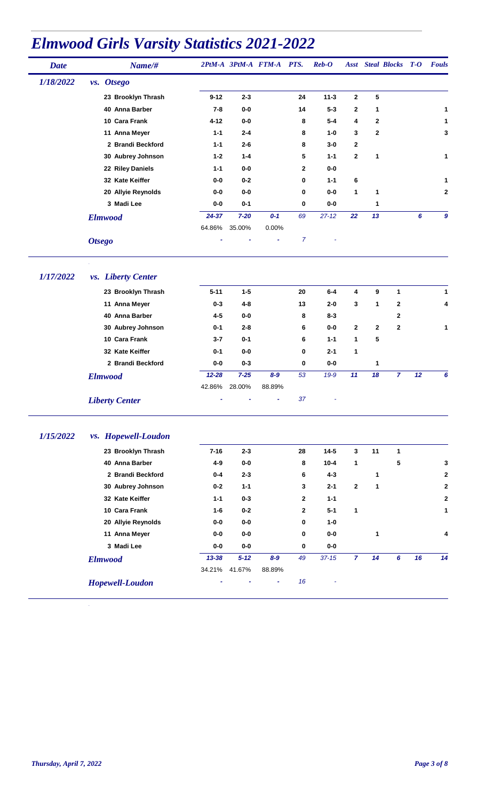| <b>Date</b> | Name/#             |           |          | 2PtM-A 3PtM-A FTM-A PTS. |                | $\boldsymbol{Reb}\text{-}\boldsymbol{O}$ |              |              | <b>Asst</b> Steal Blocks <b>T-O</b> |   | <b>Fouls</b> |
|-------------|--------------------|-----------|----------|--------------------------|----------------|------------------------------------------|--------------|--------------|-------------------------------------|---|--------------|
| 1/18/2022   | vs. Otsego         |           |          |                          |                |                                          |              |              |                                     |   |              |
|             | 23 Brooklyn Thrash | $9 - 12$  | $2 - 3$  |                          | 24             | $11 - 3$                                 | $\mathbf{2}$ | 5            |                                     |   |              |
|             | 40 Anna Barber     | 7-8       | 0-0      |                          | 14             | $5 - 3$                                  | $\mathbf{2}$ | 1            |                                     |   | 1            |
|             | 10 Cara Frank      | $4 - 12$  | $0-0$    |                          | 8              | $5 - 4$                                  | 4            | $\mathbf{2}$ |                                     |   | 1            |
|             | 11 Anna Meyer      | $1 - 1$   | $2 - 4$  |                          | 8              | $1-0$                                    | 3            | $\mathbf{2}$ |                                     |   | 3            |
|             | 2 Brandi Beckford  | $1 - 1$   | $2 - 6$  |                          | 8              | $3-0$                                    | 2            |              |                                     |   |              |
|             | 30 Aubrey Johnson  | $1 - 2$   | $1 - 4$  |                          | 5              | $1 - 1$                                  | $\mathbf 2$  | 1            |                                     |   | 1            |
|             | 22 Riley Daniels   | $1 - 1$   | $0-0$    |                          | $\mathbf{2}$   | $0-0$                                    |              |              |                                     |   |              |
|             | 32 Kate Keiffer    | $0-0$     | $0 - 2$  |                          | $\bf{0}$       | $1 - 1$                                  | 6            |              |                                     |   | 1            |
|             | 20 Allyie Reynolds | 0-0       | $0-0$    |                          | $\mathbf 0$    | $0-0$                                    | $\mathbf{1}$ | 1            |                                     |   | $\mathbf 2$  |
|             | 3 Madi Lee         | $0-0$     | $0 - 1$  |                          | $\mathbf 0$    | $0-0$                                    |              | 1            |                                     |   |              |
|             | <b>Elmwood</b>     | $24 - 37$ | $7 - 20$ | $0 - 1$                  | 69             | $27 - 12$                                | 22           | 13           |                                     | 6 | 9            |
|             |                    | 64.86%    | 35.00%   | 0.00%                    |                |                                          |              |              |                                     |   |              |
|             | <b>Otsego</b>      |           |          | ٠                        | $\overline{7}$ | ٠                                        |              |              |                                     |   |              |

#### *1/17/2022 vs. Liberty Center*

| 23 Brooklyn Thrash    | $5 - 11$  | $1 - 5$  |         | 20 | $6-4$    | 4            | 9            | 1            |    | 1 |
|-----------------------|-----------|----------|---------|----|----------|--------------|--------------|--------------|----|---|
| 11 Anna Meyer         | $0 - 3$   | $4 - 8$  |         | 13 | $2 - 0$  | 3            | 1            | $\mathbf{2}$ |    | 4 |
| 40 Anna Barber        | 4-5       | $0-0$    |         | 8  | $8 - 3$  |              |              | $\mathbf{2}$ |    |   |
| 30 Aubrey Johnson     | $0 - 1$   | $2 - 8$  |         | 6  | $0-0$    | $\mathbf{2}$ | $\mathbf{2}$ | $\mathbf{2}$ |    | 1 |
| 10 Cara Frank         | $3 - 7$   | $0 - 1$  |         | 6  | $1 - 1$  | 1            | 5            |              |    |   |
| 32 Kate Keiffer       | $0 - 1$   | $0-0$    |         | 0  | $2 - 1$  | 1            |              |              |    |   |
| 2 Brandi Beckford     | $0-0$     | $0 - 3$  |         | 0  | $0-0$    |              | 1            |              |    |   |
| <b>Elmwood</b>        | $12 - 28$ | $7 - 25$ | $8 - 9$ | 53 | $19 - 9$ | 11           | 18           | 7            | 12 | 6 |
|                       | 42.86%    | 28.00%   | 88.89%  |    |          |              |              |              |    |   |
| <b>Liberty Center</b> |           |          | ٠       | 37 |          |              |              |              |    |   |
|                       |           |          |         |    |          |              |              |              |    |   |

#### *1/15/2022 vs. Hopewell-Loudon*

| 23 Brooklyn Thrash     | $7 - 16$  | $2 - 3$  |         | 28           | $14 - 5$  | 3              | 11 | $\mathbf{1}$ |    |              |
|------------------------|-----------|----------|---------|--------------|-----------|----------------|----|--------------|----|--------------|
| 40 Anna Barber         | 4-9       | $0-0$    |         | 8            | $10 - 4$  | 1              |    | 5            |    | 3            |
| 2 Brandi Beckford      | $0 - 4$   | $2 - 3$  |         | 6            | $4 - 3$   |                | 1  |              |    | $\mathbf{2}$ |
| 30 Aubrey Johnson      | $0 - 2$   | $1 - 1$  |         | 3            | $2 - 1$   | $\mathbf{2}$   | 1  |              |    | $\mathbf{2}$ |
| 32 Kate Keiffer        | $1 - 1$   | $0 - 3$  |         | $\mathbf{2}$ | $1 - 1$   |                |    |              |    | $\mathbf{2}$ |
| 10 Cara Frank          | $1 - 6$   | $0 - 2$  |         | $\mathbf{2}$ | $5 - 1$   | 1              |    |              |    | 1            |
| 20 Allyie Reynolds     | 0-0       | $0-0$    |         | 0            | $1-0$     |                |    |              |    |              |
| 11 Anna Meyer          | 0-0       | $0-0$    |         | $\bf{0}$     | $0-0$     |                | 1  |              |    | 4            |
| 3 Madi Lee             | 0-0       | $0-0$    |         | 0            | $0-0$     |                |    |              |    |              |
| <b>Elmwood</b>         | $13 - 38$ | $5 - 12$ | $8 - 9$ | 49           | $37 - 15$ | $\overline{7}$ | 14 | 6            | 16 | 14           |
|                        | 34.21%    | 41.67%   | 88.89%  |              |           |                |    |              |    |              |
| <b>Hopewell-Loudon</b> |           |          | ٠       | 16           | ٠         |                |    |              |    |              |
|                        |           |          |         |              |           |                |    |              |    |              |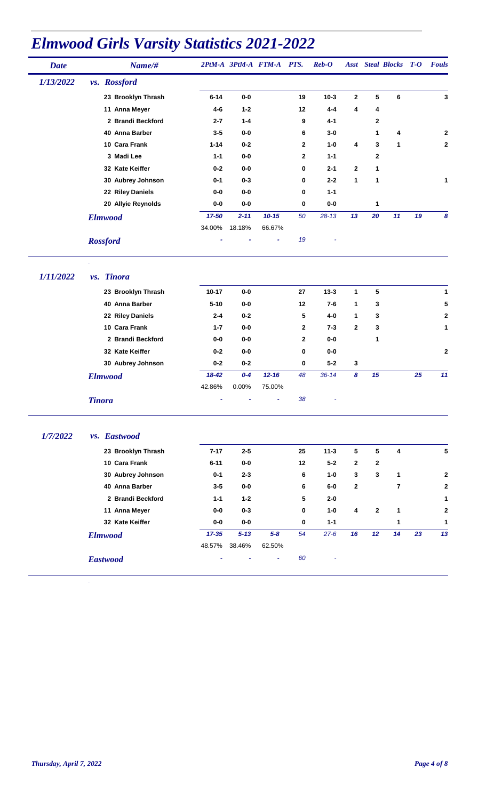| <b>Date</b> | Name/#             |          |          | 2PtM-A 3PtM-A FTM-A PTS. |                | $\mathbf{Reb}\text{-}\mathbf{O}$ |              |              | <b>Asst</b> Steal Blocks <b>T-O</b> |    | <b>Fouls</b>            |
|-------------|--------------------|----------|----------|--------------------------|----------------|----------------------------------|--------------|--------------|-------------------------------------|----|-------------------------|
| 1/13/2022   | vs. Rossford       |          |          |                          |                |                                  |              |              |                                     |    |                         |
|             | 23 Brooklyn Thrash | $6 - 14$ | $0-0$    |                          | 19             | $10-3$                           | 2            | 5            | 6                                   |    | 3                       |
|             | 11 Anna Meyer      | 4-6      | $1 - 2$  |                          | 12             | $4 - 4$                          | 4            | 4            |                                     |    |                         |
|             | 2 Brandi Beckford  | $2 - 7$  | $1 - 4$  |                          | 9              | $4 - 1$                          |              | $\mathbf{2}$ |                                     |    |                         |
|             | 40 Anna Barber     | $3-5$    | $0-0$    |                          | 6              | $3-0$                            |              | 1            | 4                                   |    | 2                       |
|             | 10 Cara Frank      | $1 - 14$ | $0 - 2$  |                          | $\overline{2}$ | $1-0$                            | 4            | 3            | 1                                   |    | $\overline{\mathbf{2}}$ |
|             | 3 Madi Lee         | $1 - 1$  | $0-0$    |                          | $\overline{2}$ | $1 - 1$                          |              | $\mathbf{2}$ |                                     |    |                         |
|             | 32 Kate Keiffer    | $0 - 2$  | $0-0$    |                          | $\bf{0}$       | $2 - 1$                          | $\mathbf{2}$ | 1            |                                     |    |                         |
|             | 30 Aubrey Johnson  | $0 - 1$  | $0 - 3$  |                          | $\mathbf 0$    | $2 - 2$                          | $\mathbf{1}$ | 1            |                                     |    | 1                       |
|             | 22 Riley Daniels   | $0-0$    | $0-0$    |                          | $\mathbf 0$    | $1 - 1$                          |              |              |                                     |    |                         |
|             | 20 Allyie Reynolds | $0-0$    | $0-0$    |                          | 0              | $0-0$                            |              | 1            |                                     |    |                         |
|             | <b>Elmwood</b>     | 17-50    | $2 - 11$ | $10 - 15$                | 50             | $28 - 13$                        | 13           | 20           | 11                                  | 19 | 8                       |
|             |                    | 34.00%   | 18.18%   | 66.67%                   |                |                                  |              |              |                                     |    |                         |
|             | <b>Rossford</b>    |          |          | ٠                        | 19             | ۰                                |              |              |                                     |    |                         |

*1/11/2022 vs. Tinora*

|               | 23 Brooklyn Thrash | $10 - 17$ | $0-0$    |           | 27           | $13 - 3$  | 1.           | 5  |    | 1              |
|---------------|--------------------|-----------|----------|-----------|--------------|-----------|--------------|----|----|----------------|
|               | 40 Anna Barber     | $5 - 10$  | $0-0$    |           | 12           | $7 - 6$   | 1            | 3  |    | 5              |
|               | 22 Riley Daniels   | $2 - 4$   | $0 - 2$  |           | 5            | $4-0$     | 1.           | 3  |    | $\overline{2}$ |
|               | 10 Cara Frank      | $1 - 7$   | $0-0$    |           | $\mathbf{2}$ | $7 - 3$   | $\mathbf{2}$ | 3  |    | 1              |
|               | 2 Brandi Beckford  | $0-0$     | $0-0$    |           | $\mathbf{2}$ | $0-0$     |              | 1  |    |                |
|               | 32 Kate Keiffer    | $0 - 2$   | $0-0$    |           | 0            | $0-0$     |              |    |    | $\mathbf{2}$   |
|               | 30 Aubrey Johnson  | $0 - 2$   | $0 - 2$  |           | 0            | $5 - 2$   | 3            |    |    |                |
|               | <b>Elmwood</b>     | $18 - 42$ | $0 - 4$  | $12 - 16$ | 48           | $36 - 14$ | 8            | 15 | 25 | 11             |
|               |                    | 42.86%    | $0.00\%$ | 75.00%    |              |           |              |    |    |                |
| <b>Tinora</b> |                    | ۰         | ٠        | ٠         | 38           | ۰         |              |    |    |                |

#### *1/7/2022 vs. Eastwood*

| 23 Brooklyn Thrash | $7 - 17$  | $2 - 5$  |         | 25 | $11 - 3$ | 5            | 5               | 4  |    | 5            |
|--------------------|-----------|----------|---------|----|----------|--------------|-----------------|----|----|--------------|
| 10 Cara Frank      | $6 - 11$  | $0-0$    |         | 12 | $5 - 2$  | $\mathbf{2}$ | $\mathbf{2}$    |    |    |              |
| 30 Aubrey Johnson  | $0 - 1$   | $2 - 3$  |         | 6  | $1-0$    | 3            | 3               | 1  |    | $\mathbf{2}$ |
| 40 Anna Barber     | $3-5$     | $0-0$    |         | 6  | $6-0$    | $\mathbf{2}$ |                 | 7  |    | $\mathbf{2}$ |
| 2 Brandi Beckford  | $1 - 1$   | $1 - 2$  |         | 5  | $2 - 0$  |              |                 |    |    | 1            |
| 11 Anna Meyer      | 0-0       | $0 - 3$  |         | 0  | $1-0$    | 4            | $\mathbf{2}$    | 1  |    | $\mathbf{2}$ |
| 32 Kate Keiffer    | $0-0$     | $0-0$    |         | 0  | $1 - 1$  |              |                 | 1  |    | 1            |
| <b>Elmwood</b>     | $17 - 35$ | $5 - 13$ | $5 - 8$ | 54 | $27 - 6$ | 16           | 12 <sup>°</sup> | 14 | 23 | 13           |
|                    | 48.57%    | 38.46%   | 62.50%  |    |          |              |                 |    |    |              |
| <b>Eastwood</b>    |           | ۰        | ۰       | 60 | ۰        |              |                 |    |    |              |
|                    |           |          |         |    |          |              |                 |    |    |              |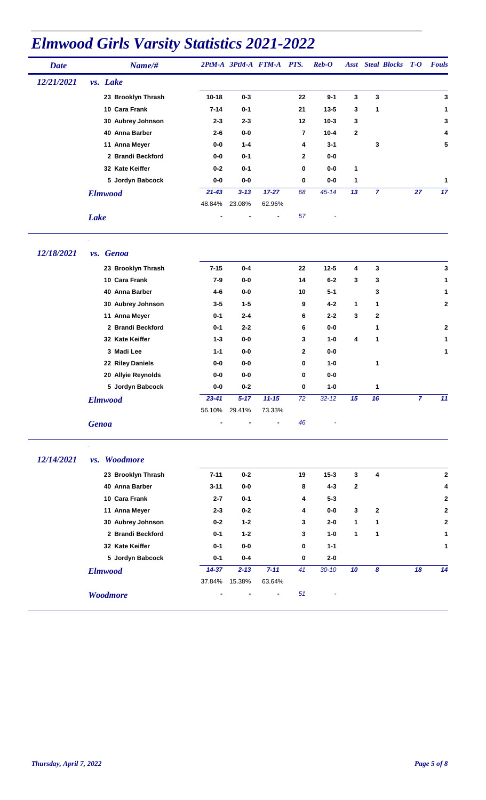| <b>Date</b> | Name/#             |           |          | 2PtM-A 3PtM-A FTM-A PTS. |                | $\boldsymbol{Reb}\text{-}\boldsymbol{O}$ |                | <b>Asst</b> Steal Blocks T-O |                | <b>Fouls</b> |
|-------------|--------------------|-----------|----------|--------------------------|----------------|------------------------------------------|----------------|------------------------------|----------------|--------------|
| 12/21/2021  | vs. Lake           |           |          |                          |                |                                          |                |                              |                |              |
|             | 23 Brooklyn Thrash | $10 - 18$ | $0 - 3$  |                          | 22             | $9 - 1$                                  | 3              | 3                            |                | 3            |
|             | 10 Cara Frank      | $7 - 14$  | $0 - 1$  |                          | 21             | $13 - 5$                                 | 3              | 1                            |                | 1            |
|             | 30 Aubrey Johnson  | $2 - 3$   | $2 - 3$  |                          | 12             | $10 - 3$                                 | 3              |                              |                | 3            |
|             | 40 Anna Barber     | $2 - 6$   | $0-0$    |                          | $\overline{7}$ | $10 - 4$                                 | $\overline{2}$ |                              |                | 4            |
|             | 11 Anna Meyer      | $0-0$     | $1 - 4$  |                          | 4              | $3 - 1$                                  |                | 3                            |                | 5            |
|             | 2 Brandi Beckford  | $0-0$     | $0 - 1$  |                          | $\overline{2}$ | $0-0$                                    |                |                              |                |              |
|             | 32 Kate Keiffer    | $0 - 2$   | $0 - 1$  |                          | 0              | $0-0$                                    | 1              |                              |                |              |
|             | 5 Jordyn Babcock   | $0-0$     | $0-0$    |                          | 0              | $0-0$                                    | 1              |                              |                | 1            |
|             | <b>Elmwood</b>     | $21 - 43$ | $3 - 13$ | $17 - 27$                | 68             | $45 - 14$                                | 13             | $\overline{7}$               | 27             | 17           |
|             |                    | 48.84%    | 23.08%   | 62.96%                   |                |                                          |                |                              |                |              |
|             | <b>Lake</b>        |           |          |                          | 57             |                                          |                |                              |                |              |
| 12/18/2021  | vs. Genoa          |           |          |                          |                |                                          |                |                              |                |              |
|             | 23 Brooklyn Thrash | $7 - 15$  | $0 - 4$  |                          | 22             | $12 - 5$                                 | 4              | 3                            |                | 3            |
|             | 10 Cara Frank      | $7 - 9$   | $0-0$    |                          | 14             | $6-2$                                    | 3              | 3                            |                | 1            |
|             | 40 Anna Barber     | 4-6       | $0-0$    |                          | 10             | $5-1$                                    |                | 3                            |                | 1            |
|             | 30 Aubrey Johnson  | $3 - 5$   | $1 - 5$  |                          | 9              | $4 - 2$                                  | 1              | 1                            |                | $\mathbf 2$  |
|             | 11 Anna Meyer      | $0 - 1$   | $2 - 4$  |                          | 6              | $2 - 2$                                  | 3              | 2                            |                |              |
|             | 2 Brandi Beckford  | $0 - 1$   | $2 - 2$  |                          | 6              | $0-0$                                    |                | 1                            |                | 2            |
|             | 32 Kate Keiffer    | $1 - 3$   | $0-0$    |                          | 3              | $1 - 0$                                  | 4              | 1                            |                | 1            |
|             | 3 Madi Lee         | $1 - 1$   | $0-0$    |                          | 2              | $0-0$                                    |                |                              |                | 1            |
|             | 22 Riley Daniels   | $0-0$     | $0-0$    |                          | 0              | $1 - 0$                                  |                | 1                            |                |              |
|             | 20 Allyie Reynolds | $0-0$     | $0-0$    |                          | 0              | $0-0$                                    |                |                              |                |              |
|             | 5 Jordyn Babcock   | $0-0$     | $0 - 2$  |                          | 0              | $1-0$                                    |                | 1                            |                |              |
|             | <b>Elmwood</b>     | $23 - 41$ | $5 - 17$ | $11 - 15$                | 72             | $32 - 12$                                | 15             | 16                           | $\overline{7}$ | 11           |

56.10% 29.41% 73.33%

*Genoa - - - 46 -*

#### *12/14/2021 vs. Woodmore*

| 23 Brooklyn Thrash | $7 - 11$  | $0 - 2$  |          | 19 | $15 - 3$  | 3            | 4            |    | $\overline{2}$ |
|--------------------|-----------|----------|----------|----|-----------|--------------|--------------|----|----------------|
| 40 Anna Barber     | $3 - 11$  | $0-0$    |          | 8  | $4 - 3$   | $\mathbf{2}$ |              |    | 4              |
| 10 Cara Frank      | $2 - 7$   | $0 - 1$  |          | 4  | $5 - 3$   |              |              |    | $\mathbf{2}$   |
| 11 Anna Meyer      | $2 - 3$   | $0 - 2$  |          | 4  | $0-0$     | 3            | $\mathbf{2}$ |    | $\overline{2}$ |
| 30 Aubrey Johnson  | $0 - 2$   | $1 - 2$  |          | 3  | $2 - 0$   | 1            | 1            |    | $\overline{2}$ |
| 2 Brandi Beckford  | $0 - 1$   | $1 - 2$  |          | 3  | $1-0$     | 1            | 1            |    | 1              |
| 32 Kate Keiffer    | $0 - 1$   | $0-0$    |          | 0  | $1 - 1$   |              |              |    | 1              |
| 5 Jordyn Babcock   | $0 - 1$   | $0 - 4$  |          | 0  | $2 - 0$   |              |              |    |                |
| <b>Elmwood</b>     | $14 - 37$ | $2 - 13$ | $7 - 11$ | 41 | $30 - 10$ | 10           | 8            | 18 | 14             |
|                    | 37.84%    | 15.38%   | 63.64%   |    |           |              |              |    |                |
| <b>Woodmore</b>    |           |          | ٠        | 51 | ٠         |              |              |    |                |
|                    |           |          |          |    |           |              |              |    |                |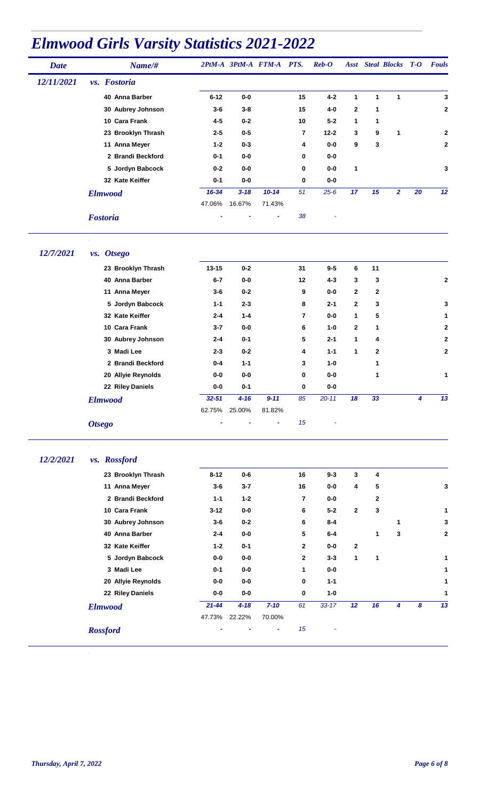| <b>Date</b> | Name/#             |           |          | 2PtM-A 3PtM-A FTM-A | PTS.     | $\boldsymbol{Reb}\text{-}\boldsymbol{O}$ |              |    | <b>Asst</b> Steal Blocks <b>T-O</b> |    | <b>Fouls</b>   |
|-------------|--------------------|-----------|----------|---------------------|----------|------------------------------------------|--------------|----|-------------------------------------|----|----------------|
| 12/11/2021  | vs. Fostoria       |           |          |                     |          |                                          |              |    |                                     |    |                |
|             | 40 Anna Barber     | $6 - 12$  | $0-0$    |                     | 15       | $4 - 2$                                  | 1            | 1  | $\mathbf{1}$                        |    | 3              |
|             | 30 Aubrey Johnson  | $3-6$     | $3 - 8$  |                     | 15       | 4-0                                      | $\mathbf{2}$ | 1  |                                     |    | $\overline{2}$ |
|             | 10 Cara Frank      | $4 - 5$   | $0 - 2$  |                     | 10       | $5 - 2$                                  | 1            | 1  |                                     |    |                |
|             | 23 Brooklyn Thrash | $2 - 5$   | $0-5$    |                     | 7        | $12 - 2$                                 | 3            | 9  | 1                                   |    | $\mathbf{2}$   |
|             | 11 Anna Meyer      | $1 - 2$   | $0 - 3$  |                     | 4        | $0-0$                                    | 9            | 3  |                                     |    | $\mathbf 2$    |
|             | 2 Brandi Beckford  | $0 - 1$   | $0-0$    |                     | $\bf{0}$ | $0-0$                                    |              |    |                                     |    |                |
|             | 5 Jordyn Babcock   | $0 - 2$   | $0-0$    |                     | 0        | $0-0$                                    | 1            |    |                                     |    | 3              |
|             | 32 Kate Keiffer    | $0 - 1$   | $0-0$    |                     | 0        | $0-0$                                    |              |    |                                     |    |                |
|             | <b>Elmwood</b>     | $16 - 34$ | $3 - 18$ | $10 - 14$           | 51       | $25 - 6$                                 | 17           | 15 | $\overline{2}$                      | 20 | 12             |
|             |                    | 47.06%    | 16.67%   | 71.43%              |          |                                          |              |    |                                     |    |                |
|             | <b>Fostoria</b>    |           |          | ۰                   | 38       |                                          |              |    |                                     |    |                |

*12/7/2021 vs. Otsego*

| 23 Brooklyn Thrash | $13 - 15$ | $0 - 2$  |          | 31       | $9 - 5$   | 6            | 11           |   |                |
|--------------------|-----------|----------|----------|----------|-----------|--------------|--------------|---|----------------|
| 40 Anna Barber     | $6 - 7$   | $0-0$    |          | 12       | $4 - 3$   | 3            | 3            |   | $\overline{2}$ |
| 11 Anna Meyer      | $3-6$     | $0 - 2$  |          | 9        | $0-0$     | $\mathbf{2}$ | $\mathbf{2}$ |   |                |
| 5 Jordyn Babcock   | $1 - 1$   | $2 - 3$  |          | 8        | $2 - 1$   | $\mathbf{2}$ | 3            |   | 3              |
| 32 Kate Keiffer    | $2 - 4$   | $1 - 4$  |          | 7        | $0-0$     | 1            | 5            |   | 1              |
| 10 Cara Frank      | $3 - 7$   | $0-0$    |          | 6        | $1-0$     | $\mathbf{2}$ | 1            |   | $\mathbf{2}$   |
| 30 Aubrey Johnson  | $2 - 4$   | $0 - 1$  |          | 5        | $2 - 1$   | 1            | 4            |   | $\overline{2}$ |
| 3 Madi Lee         | $2 - 3$   | $0 - 2$  |          | 4        | $1 - 1$   | 1            | $\mathbf{2}$ |   | $\mathbf{2}$   |
| 2 Brandi Beckford  | $0 - 4$   | $1 - 1$  |          | 3        | $1 - 0$   |              | 1            |   |                |
| 20 Allyie Reynolds | $0-0$     | $0-0$    |          | 0        | $0-0$     |              | 1            |   | 1              |
| 22 Riley Daniels   | 0-0       | $0 - 1$  |          | $\bf{0}$ | $0-0$     |              |              |   |                |
| <b>Elmwood</b>     | $32 - 51$ | $4 - 16$ | $9 - 11$ | 85       | $20 - 11$ | 18           | 33           | 4 | 13             |
|                    | 62.75%    | 25.00%   | 81.82%   |          |           |              |              |   |                |
| <b>Otsego</b>      |           |          |          | 15       |           |              |              |   |                |
|                    |           |          |          |          |           |              |              |   |                |

#### *12/2/2021 vs. Rossford*

| 23 Brooklyn Thrash | $8 - 12$  | $0 - 6$  |          | 16             | $9 - 3$   | 3            | 4            |              |   |              |
|--------------------|-----------|----------|----------|----------------|-----------|--------------|--------------|--------------|---|--------------|
| 11 Anna Meyer      | $3-6$     | $3 - 7$  |          | 16             | 0-0       | 4            | 5            |              |   | 3            |
| 2 Brandi Beckford  | $1 - 1$   | $1 - 2$  |          | 7              | $0-0$     |              | $\mathbf{2}$ |              |   |              |
| 10 Cara Frank      | $3 - 12$  | $0-0$    |          | 6              | $5 - 2$   | $\mathbf{2}$ | 3            |              |   | 1            |
| 30 Aubrey Johnson  | $3-6$     | $0 - 2$  |          | 6              | $8 - 4$   |              |              | 1            |   | 3            |
| 40 Anna Barber     | $2 - 4$   | $0-0$    |          | 5              | $6-4$     |              | 1            | $\mathbf{3}$ |   | $\mathbf{2}$ |
| 32 Kate Keiffer    | $1 - 2$   | $0 - 1$  |          | $\mathbf{2}$   | $0-0$     | $\mathbf{2}$ |              |              |   |              |
| 5 Jordyn Babcock   | $0-0$     | $0-0$    |          | $\overline{2}$ | $3 - 3$   | 1            | $\mathbf{1}$ |              |   | 1            |
| 3 Madi Lee         | $0 - 1$   | $0-0$    |          | 1              | $0-0$     |              |              |              |   | 1            |
| 20 Allyie Reynolds | $0-0$     | $0-0$    |          | 0              | $1 - 1$   |              |              |              |   | 1            |
| 22 Riley Daniels   | $0-0$     | $0-0$    |          | 0              | $1 - 0$   |              |              |              |   | 1            |
| <b>Elmwood</b>     | $21 - 44$ | $4 - 18$ | $7 - 10$ | 61             | $33 - 17$ | 12           | 16           | 4            | 8 | 13           |
|                    | 47.73%    | 22.22%   | 70.00%   |                |           |              |              |              |   |              |
| <b>Rossford</b>    |           |          |          | 15             |           |              |              |              |   |              |
|                    |           |          |          |                |           |              |              |              |   |              |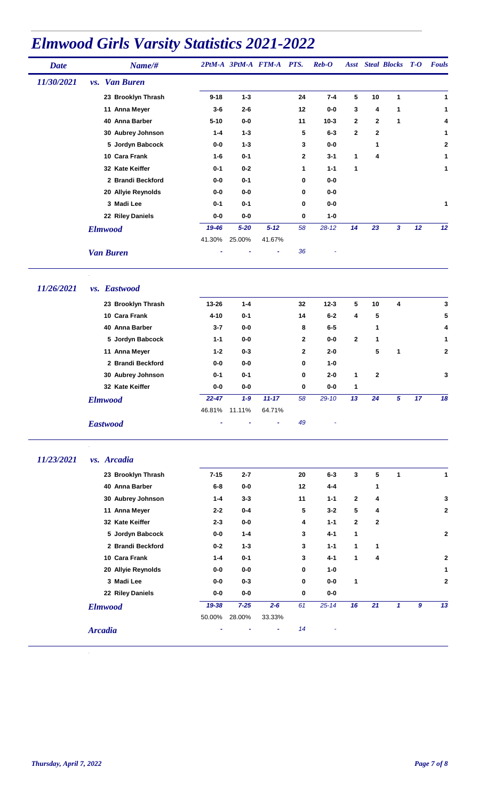| <b>Date</b> | Name/#                              |          | 2PtM-A 3PtM-A FTM-A |          | PTS.         | $\boldsymbol{Reb}\text{-}\boldsymbol{O}$ | <b>Asst</b> |              | <b>Steal Blocks T-O</b> |    | <b>Fouls</b> |
|-------------|-------------------------------------|----------|---------------------|----------|--------------|------------------------------------------|-------------|--------------|-------------------------|----|--------------|
| 11/30/2021  | <b>Van Buren</b><br>$\mathbf{v}$ s. |          |                     |          |              |                                          |             |              |                         |    |              |
|             | 23 Brooklyn Thrash                  | $9 - 18$ | $1 - 3$             |          | 24           | $7 - 4$                                  | 5           | 10           | 1                       |    | 1            |
|             | 11 Anna Meyer                       | $3-6$    | $2 - 6$             |          | 12           | $0-0$                                    | 3           | 4            | 1                       |    | 1            |
|             | 40 Anna Barber                      | $5 - 10$ | $0-0$               |          | 11           | $10 - 3$                                 | 2           | $\mathbf{2}$ | 1                       |    | 4            |
|             | 30 Aubrey Johnson                   | $1 - 4$  | $1 - 3$             |          | 5            | $6 - 3$                                  | 2           | 2            |                         |    | 1            |
|             | 5 Jordyn Babcock                    | 0-0      | $1 - 3$             |          | 3            | $0-0$                                    |             | 1            |                         |    | $\mathbf{2}$ |
|             | 10 Cara Frank                       | $1 - 6$  | $0 - 1$             |          | $\mathbf{2}$ | $3 - 1$                                  | 1           | 4            |                         |    | 1            |
|             | 32 Kate Keiffer                     | $0 - 1$  | $0 - 2$             |          | 1            | $1 - 1$                                  | 1           |              |                         |    | 1            |
|             | 2 Brandi Beckford                   | $0-0$    | $0 - 1$             |          | 0            | $0-0$                                    |             |              |                         |    |              |
|             | 20 Allyie Reynolds                  | 0-0      | 0-0                 |          | 0            | $0-0$                                    |             |              |                         |    |              |
|             | 3 Madi Lee                          | $0 - 1$  | $0 - 1$             |          | 0            | $0-0$                                    |             |              |                         |    | 1            |
|             | 22 Riley Daniels                    | 0-0      | $0-0$               |          | 0            | $1-0$                                    |             |              |                         |    |              |
|             | <b>Elmwood</b>                      | 19-46    | $5 - 20$            | $5 - 12$ | 58           | $28 - 12$                                | 14          | 23           | 3                       | 12 | 12           |
|             |                                     | 41.30%   | 25.00%              | 41.67%   |              |                                          |             |              |                         |    |              |
|             | <b>Van Buren</b>                    |          |                     | ۰        | 36           |                                          |             |              |                         |    |              |

*11/26/2021 vs. Eastwood*

| 23 Brooklyn Thrash | $13 - 26$ | $1 - 4$ |           | 32 | $12 - 3$  | 5            | 10             | 4 |    | 3            |
|--------------------|-----------|---------|-----------|----|-----------|--------------|----------------|---|----|--------------|
| 10 Cara Frank      | $4 - 10$  | $0 - 1$ |           | 14 | $6-2$     | 4            | 5              |   |    | 5            |
| 40 Anna Barber     | $3 - 7$   | $0-0$   |           | 8  | $6-5$     |              | 1              |   |    | 4            |
| 5 Jordyn Babcock   | $1 - 1$   | $0-0$   |           | 2  | $0-0$     | $\mathbf{2}$ | 1              |   |    | 1            |
| 11 Anna Meyer      | $1 - 2$   | $0 - 3$ |           | 2  | $2 - 0$   |              | 5              | 1 |    | $\mathbf{2}$ |
| 2 Brandi Beckford  | 0-0       | $0-0$   |           | 0  | $1 - 0$   |              |                |   |    |              |
| 30 Aubrey Johnson  | $0 - 1$   | $0 - 1$ |           | 0  | $2 - 0$   | 1            | $\overline{2}$ |   |    | $\mathbf{3}$ |
| 32 Kate Keiffer    | 0-0       | $0-0$   |           | 0  | $0-0$     | 1            |                |   |    |              |
| <b>Elmwood</b>     | $22 - 47$ | $1 - 9$ | $11 - 17$ | 58 | $29 - 10$ | 13           | 24             | 5 | 17 | 18           |
|                    | 46.81%    | 11.11%  | 64.71%    |    |           |              |                |   |    |              |
| <b>Eastwood</b>    |           |         | ٠         | 49 | ۰         |              |                |   |    |              |

#### *11/23/2021 vs. Arcadia*

| 23 Brooklyn Thrash | $7 - 15$ | $2 - 7$  |         | 20 | $6 - 3$   | 3            | 5  | 1 |                  | 1              |
|--------------------|----------|----------|---------|----|-----------|--------------|----|---|------------------|----------------|
| 40 Anna Barber     | $6-8$    | $0-0$    |         | 12 | 4-4       |              | 1  |   |                  |                |
| 30 Aubrey Johnson  | $1 - 4$  | $3 - 3$  |         | 11 | $1 - 1$   | $\mathbf{2}$ | 4  |   |                  | 3              |
| 11 Anna Meyer      | $2 - 2$  | $0 - 4$  |         | 5  | $3 - 2$   | 5            | 4  |   |                  | $\mathbf{2}$   |
| 32 Kate Keiffer    | $2 - 3$  | $0-0$    |         | 4  | $1 - 1$   | $\mathbf{2}$ | 2  |   |                  |                |
| 5 Jordyn Babcock   | 0-0      | $1 - 4$  |         | 3  | $4 - 1$   | 1            |    |   |                  | $\mathbf{2}$   |
| 2 Brandi Beckford  | $0 - 2$  | $1 - 3$  |         | 3  | $1 - 1$   | 1            | 1  |   |                  |                |
| 10 Cara Frank      | $1 - 4$  | $0 - 1$  |         | 3  | $4 - 1$   | 1            | 4  |   |                  | $\mathbf{2}$   |
| 20 Allyie Reynolds | $0-0$    | $0-0$    |         | 0  | $1 - 0$   |              |    |   |                  | 1              |
| 3 Madi Lee         | $0-0$    | $0 - 3$  |         | 0  | $0-0$     | 1            |    |   |                  | $\overline{2}$ |
| 22 Riley Daniels   | $0-0$    | $0-0$    |         | 0  | 0-0       |              |    |   |                  |                |
| <b>Elmwood</b>     | 19-38    | $7 - 25$ | $2 - 6$ | 61 | $25 - 14$ | 16           | 21 | 1 | $\boldsymbol{g}$ | 13             |
|                    | 50.00%   | 28.00%   | 33.33%  |    |           |              |    |   |                  |                |
| <b>Arcadia</b>     |          |          | ٠       | 14 |           |              |    |   |                  |                |
|                    |          |          |         |    |           |              |    |   |                  |                |